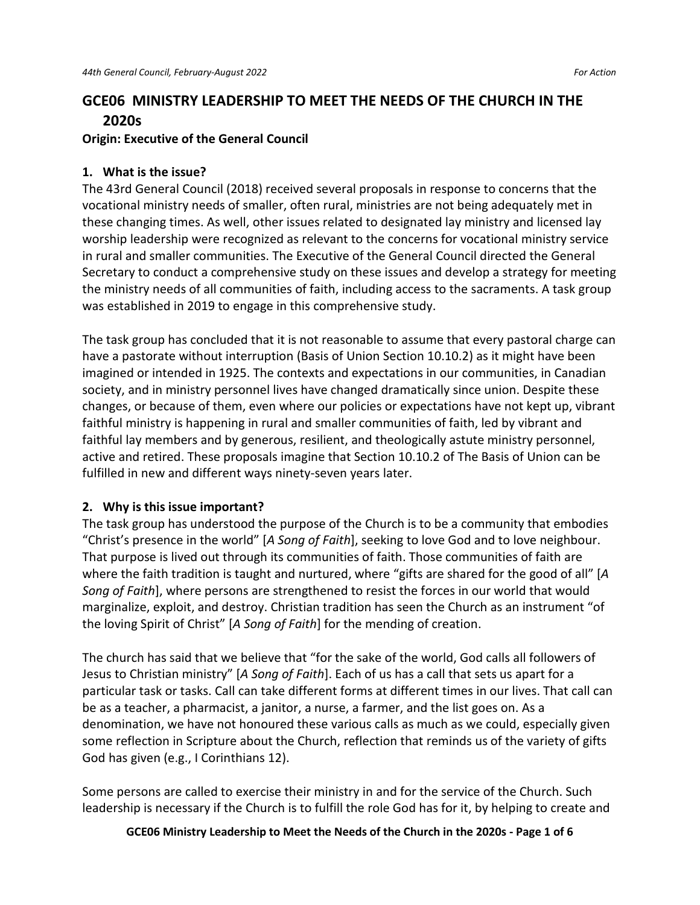# **GCE06 MINISTRY LEADERSHIP TO MEET THE NEEDS OF THE CHURCH IN THE 2020s**

#### **Origin: Executive of the General Council**

### **1. What is the issue?**

The 43rd General Council (2018) received several proposals in response to concerns that the vocational ministry needs of smaller, often rural, ministries are not being adequately met in these changing times. As well, other issues related to designated lay ministry and licensed lay worship leadership were recognized as relevant to the concerns for vocational ministry service in rural and smaller communities. The Executive of the General Council directed the General Secretary to conduct a comprehensive study on these issues and develop a strategy for meeting the ministry needs of all communities of faith, including access to the sacraments. A task group was established in 2019 to engage in this comprehensive study.

The task group has concluded that it is not reasonable to assume that every pastoral charge can have a pastorate without interruption (Basis of Union Section 10.10.2) as it might have been imagined or intended in 1925. The contexts and expectations in our communities, in Canadian society, and in ministry personnel lives have changed dramatically since union. Despite these changes, or because of them, even where our policies or expectations have not kept up, vibrant faithful ministry is happening in rural and smaller communities of faith, led by vibrant and faithful lay members and by generous, resilient, and theologically astute ministry personnel, active and retired. These proposals imagine that Section 10.10.2 of The Basis of Union can be fulfilled in new and different ways ninety-seven years later.

# **2. Why is this issue important?**

The task group has understood the purpose of the Church is to be a community that embodies "Christ's presence in the world" [*A Song of Faith*], seeking to love God and to love neighbour. That purpose is lived out through its communities of faith. Those communities of faith are where the faith tradition is taught and nurtured, where "gifts are shared for the good of all" [*A Song of Faith*], where persons are strengthened to resist the forces in our world that would marginalize, exploit, and destroy. Christian tradition has seen the Church as an instrument "of the loving Spirit of Christ" [*A Song of Faith*] for the mending of creation.

The church has said that we believe that "for the sake of the world, God calls all followers of Jesus to Christian ministry" [*A Song of Faith*]. Each of us has a call that sets us apart for a particular task or tasks. Call can take different forms at different times in our lives. That call can be as a teacher, a pharmacist, a janitor, a nurse, a farmer, and the list goes on. As a denomination, we have not honoured these various calls as much as we could, especially given some reflection in Scripture about the Church, reflection that reminds us of the variety of gifts God has given (e.g., I Corinthians 12).

Some persons are called to exercise their ministry in and for the service of the Church. Such leadership is necessary if the Church is to fulfill the role God has for it, by helping to create and

**GCE06 Ministry Leadership to Meet the Needs of the Church in the 2020s - Page 1 of 6**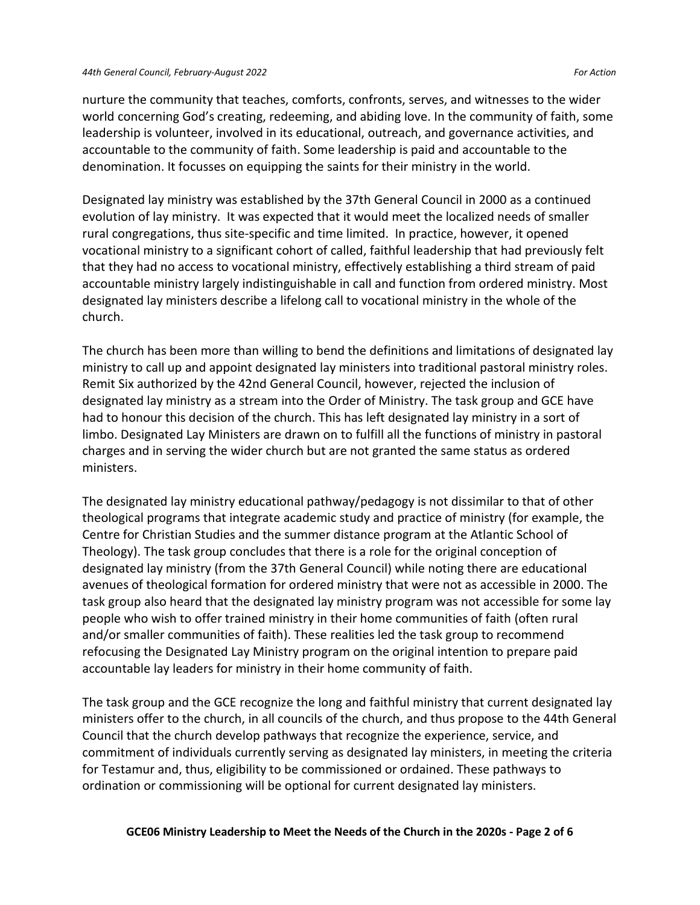#### *44th General Council, February-August 2022 For Action*

nurture the community that teaches, comforts, confronts, serves, and witnesses to the wider world concerning God's creating, redeeming, and abiding love. In the community of faith, some leadership is volunteer, involved in its educational, outreach, and governance activities, and accountable to the community of faith. Some leadership is paid and accountable to the denomination. It focusses on equipping the saints for their ministry in the world.

Designated lay ministry was established by the 37th General Council in 2000 as a continued evolution of lay ministry. It was expected that it would meet the localized needs of smaller rural congregations, thus site-specific and time limited. In practice, however, it opened vocational ministry to a significant cohort of called, faithful leadership that had previously felt that they had no access to vocational ministry, effectively establishing a third stream of paid accountable ministry largely indistinguishable in call and function from ordered ministry. Most designated lay ministers describe a lifelong call to vocational ministry in the whole of the church.

The church has been more than willing to bend the definitions and limitations of designated lay ministry to call up and appoint designated lay ministers into traditional pastoral ministry roles. Remit Six authorized by the 42nd General Council, however, rejected the inclusion of designated lay ministry as a stream into the Order of Ministry. The task group and GCE have had to honour this decision of the church. This has left designated lay ministry in a sort of limbo. Designated Lay Ministers are drawn on to fulfill all the functions of ministry in pastoral charges and in serving the wider church but are not granted the same status as ordered ministers.

The designated lay ministry educational pathway/pedagogy is not dissimilar to that of other theological programs that integrate academic study and practice of ministry (for example, the Centre for Christian Studies and the summer distance program at the Atlantic School of Theology). The task group concludes that there is a role for the original conception of designated lay ministry (from the 37th General Council) while noting there are educational avenues of theological formation for ordered ministry that were not as accessible in 2000. The task group also heard that the designated lay ministry program was not accessible for some lay people who wish to offer trained ministry in their home communities of faith (often rural and/or smaller communities of faith). These realities led the task group to recommend refocusing the Designated Lay Ministry program on the original intention to prepare paid accountable lay leaders for ministry in their home community of faith.

The task group and the GCE recognize the long and faithful ministry that current designated lay ministers offer to the church, in all councils of the church, and thus propose to the 44th General Council that the church develop pathways that recognize the experience, service, and commitment of individuals currently serving as designated lay ministers, in meeting the criteria for Testamur and, thus, eligibility to be commissioned or ordained. These pathways to ordination or commissioning will be optional for current designated lay ministers.

#### **GCE06 Ministry Leadership to Meet the Needs of the Church in the 2020s - Page 2 of 6**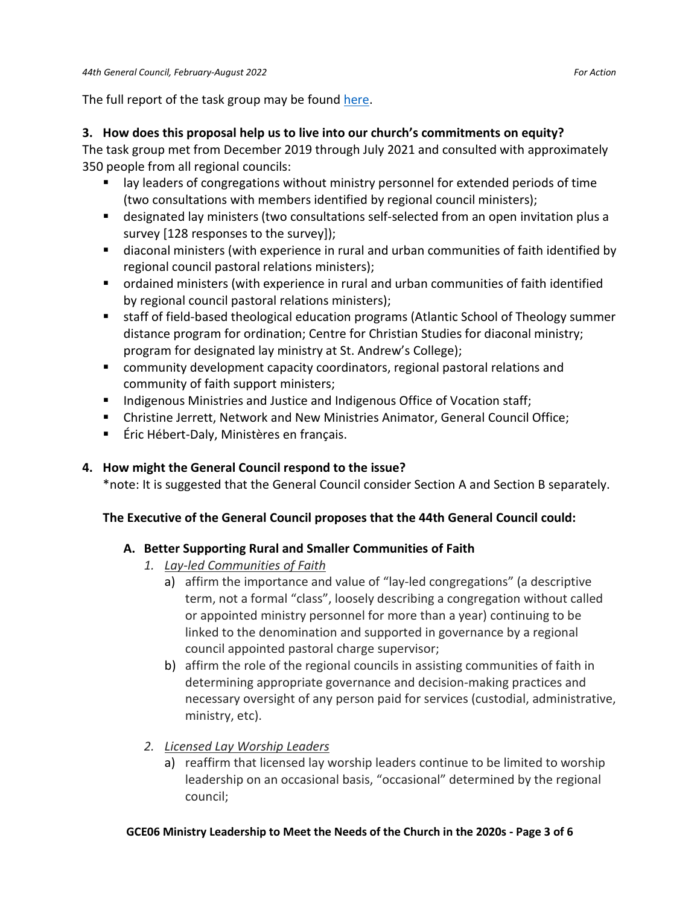The full report of the task group may be foun[d here.](https://unitedchurch.sharepoint.com/:w:/s/UnitedChurchCommons/ETb1RJMTkIBOv6M-FNfhqB0BykRk1YRo3t8YFDkUgeB6hQ?e=Jv8kP3)

### **3. How does this proposal help us to live into our church's commitments on equity?**

The task group met from December 2019 through July 2021 and consulted with approximately 350 people from all regional councils:

- lay leaders of congregations without ministry personnel for extended periods of time (two consultations with members identified by regional council ministers);
- designated lay ministers (two consultations self-selected from an open invitation plus a survey [128 responses to the survey]);
- diaconal ministers (with experience in rural and urban communities of faith identified by regional council pastoral relations ministers);
- ordained ministers (with experience in rural and urban communities of faith identified by regional council pastoral relations ministers);
- staff of field-based theological education programs (Atlantic School of Theology summer distance program for ordination; Centre for Christian Studies for diaconal ministry; program for designated lay ministry at St. Andrew's College);
- community development capacity coordinators, regional pastoral relations and community of faith support ministers;
- Indigenous Ministries and Justice and Indigenous Office of Vocation staff;
- Christine Jerrett, Network and New Ministries Animator, General Council Office;
- Éric Hébert-Daly, Ministères en français.

# **4. How might the General Council respond to the issue?**

\*note: It is suggested that the General Council consider Section A and Section B separately.

# **The Executive of the General Council proposes that the 44th General Council could:**

# **A. Better Supporting Rural and Smaller Communities of Faith**

- *1. Lay-led Communities of Faith*
	- a) affirm the importance and value of "lay-led congregations" (a descriptive term, not a formal "class", loosely describing a congregation without called or appointed ministry personnel for more than a year) continuing to be linked to the denomination and supported in governance by a regional council appointed pastoral charge supervisor;
	- b) affirm the role of the regional councils in assisting communities of faith in determining appropriate governance and decision-making practices and necessary oversight of any person paid for services (custodial, administrative, ministry, etc).
- *2. Licensed Lay Worship Leaders*
	- a) reaffirm that licensed lay worship leaders continue to be limited to worship leadership on an occasional basis, "occasional" determined by the regional council;

#### **GCE06 Ministry Leadership to Meet the Needs of the Church in the 2020s - Page 3 of 6**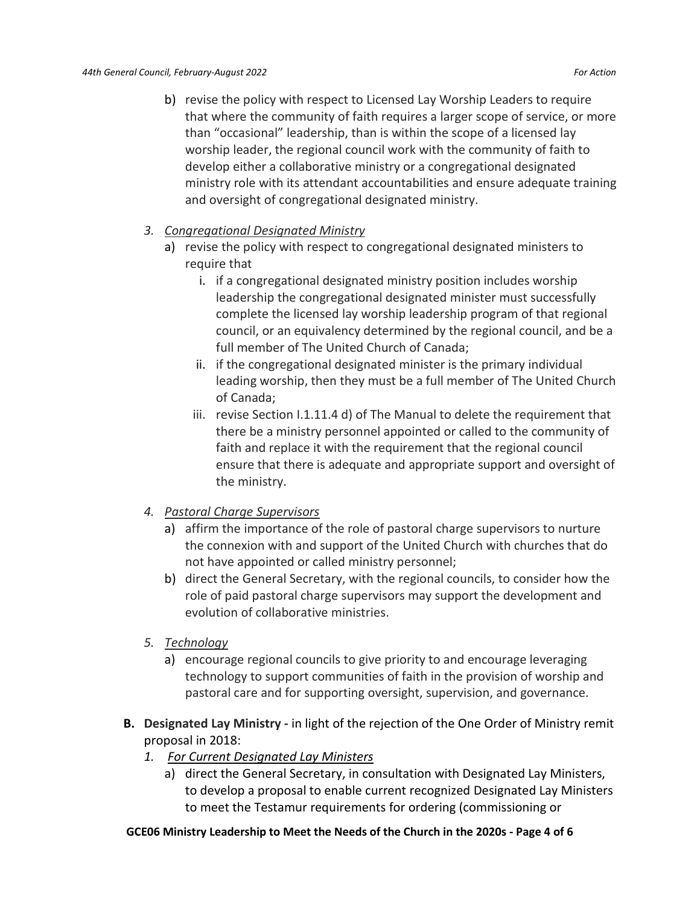- b) revise the policy with respect to Licensed Lay Worship Leaders to require that where the community of faith requires a larger scope of service, or more than "occasional" leadership, than is within the scope of a licensed lay worship leader, the regional council work with the community of faith to develop either a collaborative ministry or a congregational designated ministry role with its attendant accountabilities and ensure adequate training and oversight of congregational designated ministry.
- *3. Congregational Designated Ministry*
	- a) revise the policy with respect to congregational designated ministers to require that
		- i. if a congregational designated ministry position includes worship leadership the congregational designated minister must successfully complete the licensed lay worship leadership program of that regional council, or an equivalency determined by the regional council, and be a full member of The United Church of Canada;
		- ii. if the congregational designated minister is the primary individual leading worship, then they must be a full member of The United Church of Canada;
		- iii. revise Section I.1.11.4 d) of The Manual to delete the requirement that there be a ministry personnel appointed or called to the community of faith and replace it with the requirement that the regional council ensure that there is adequate and appropriate support and oversight of the ministry.

# *4. Pastoral Charge Supervisors*

- a) affirm the importance of the role of pastoral charge supervisors to nurture the connexion with and support of the United Church with churches that do not have appointed or called ministry personnel;
- b) direct the General Secretary, with the regional councils, to consider how the role of paid pastoral charge supervisors may support the development and evolution of collaborative ministries.
- *5. Technology*
	- a) encourage regional councils to give priority to and encourage leveraging technology to support communities of faith in the provision of worship and pastoral care and for supporting oversight, supervision, and governance.
- **B. Designated Lay Ministry -** in light of the rejection of the One Order of Ministry remit proposal in 2018:
	- *1. For Current Designated Lay Ministers*
		- a) direct the General Secretary, in consultation with Designated Lay Ministers, to develop a proposal to enable current recognized Designated Lay Ministers to meet the Testamur requirements for ordering (commissioning or

# **GCE06 Ministry Leadership to Meet the Needs of the Church in the 2020s - Page 4 of 6**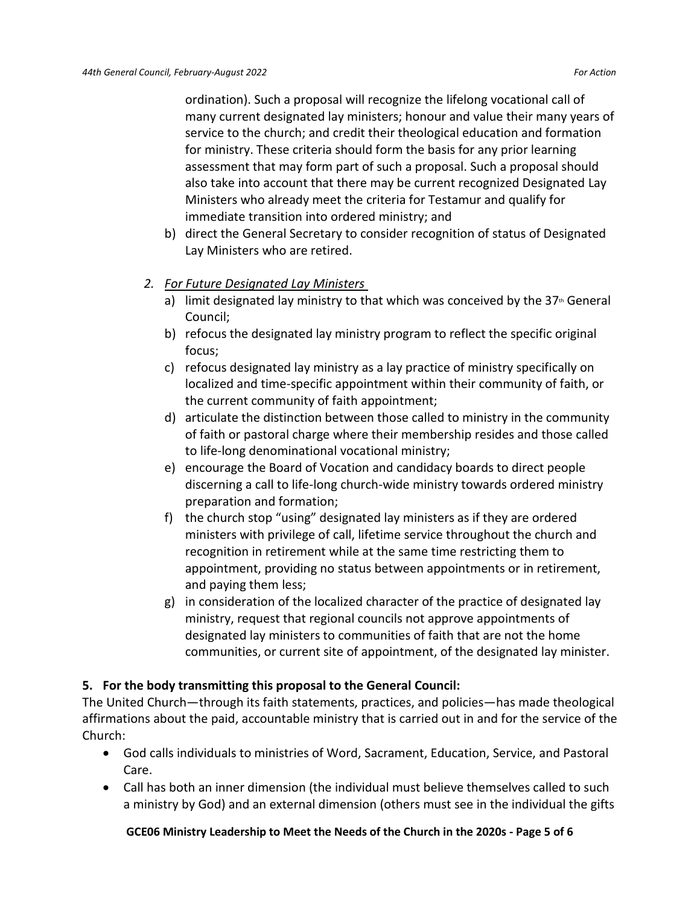ordination). Such a proposal will recognize the lifelong vocational call of many current designated lay ministers; honour and value their many years of service to the church; and credit their theological education and formation for ministry. These criteria should form the basis for any prior learning assessment that may form part of such a proposal. Such a proposal should also take into account that there may be current recognized Designated Lay Ministers who already meet the criteria for Testamur and qualify for immediate transition into ordered ministry; and

- b) direct the General Secretary to consider recognition of status of Designated Lay Ministers who are retired.
- *2. For Future Designated Lay Ministers*
	- a) limit designated lay ministry to that which was conceived by the  $37<sup>th</sup>$  General Council;
	- b) refocus the designated lay ministry program to reflect the specific original focus;
	- c) refocus designated lay ministry as a lay practice of ministry specifically on localized and time-specific appointment within their community of faith, or the current community of faith appointment;
	- d) articulate the distinction between those called to ministry in the community of faith or pastoral charge where their membership resides and those called to life-long denominational vocational ministry;
	- e) encourage the Board of Vocation and candidacy boards to direct people discerning a call to life-long church-wide ministry towards ordered ministry preparation and formation;
	- f) the church stop "using" designated lay ministers as if they are ordered ministers with privilege of call, lifetime service throughout the church and recognition in retirement while at the same time restricting them to appointment, providing no status between appointments or in retirement, and paying them less;
	- g) in consideration of the localized character of the practice of designated lay ministry, request that regional councils not approve appointments of designated lay ministers to communities of faith that are not the home communities, or current site of appointment, of the designated lay minister.

# **5. For the body transmitting this proposal to the General Council:**

The United Church—through its faith statements, practices, and policies—has made theological affirmations about the paid, accountable ministry that is carried out in and for the service of the Church:

- God calls individuals to ministries of Word, Sacrament, Education, Service, and Pastoral Care.
- Call has both an inner dimension (the individual must believe themselves called to such a ministry by God) and an external dimension (others must see in the individual the gifts

#### **GCE06 Ministry Leadership to Meet the Needs of the Church in the 2020s - Page 5 of 6**